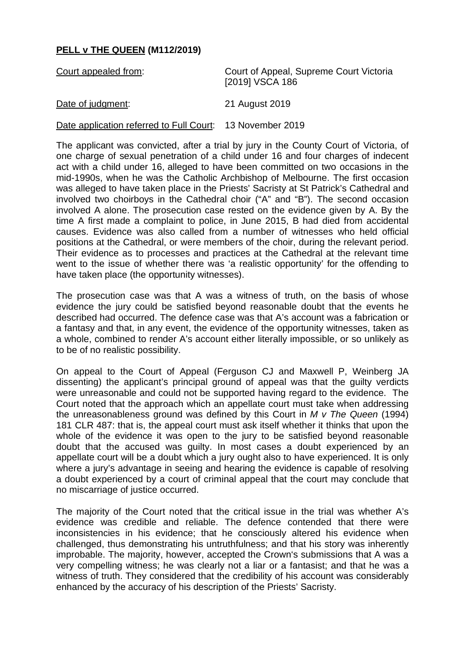## **PELL v THE QUEEN (M112/2019)**

| Court appealed from: | Court of Appeal, Supreme Court Victoria<br>[2019] VSCA 186 |
|----------------------|------------------------------------------------------------|
|                      |                                                            |

Date of judgment: 21 August 2019

Date application referred to Full Court: 13 November 2019

The applicant was convicted, after a trial by jury in the County Court of Victoria, of one charge of sexual penetration of a child under 16 and four charges of indecent act with a child under 16, alleged to have been committed on two occasions in the mid-1990s, when he was the Catholic Archbishop of Melbourne. The first occasion was alleged to have taken place in the Priests' Sacristy at St Patrick's Cathedral and involved two choirboys in the Cathedral choir ("A" and "B"). The second occasion involved A alone. The prosecution case rested on the evidence given by A. By the time A first made a complaint to police, in June 2015, B had died from accidental causes. Evidence was also called from a number of witnesses who held official positions at the Cathedral, or were members of the choir, during the relevant period. Their evidence as to processes and practices at the Cathedral at the relevant time went to the issue of whether there was 'a realistic opportunity' for the offending to have taken place (the opportunity witnesses).

The prosecution case was that A was a witness of truth, on the basis of whose evidence the jury could be satisfied beyond reasonable doubt that the events he described had occurred. The defence case was that A's account was a fabrication or a fantasy and that, in any event, the evidence of the opportunity witnesses, taken as a whole, combined to render A's account either literally impossible, or so unlikely as to be of no realistic possibility.

On appeal to the Court of Appeal (Ferguson CJ and Maxwell P, Weinberg JA dissenting) the applicant's principal ground of appeal was that the guilty verdicts were unreasonable and could not be supported having regard to the evidence. The Court noted that the approach which an appellate court must take when addressing the unreasonableness ground was defined by this Court in *M v The Queen* (1994) 181 CLR 487: that is, the appeal court must ask itself whether it thinks that upon the whole of the evidence it was open to the jury to be satisfied beyond reasonable doubt that the accused was guilty. In most cases a doubt experienced by an appellate court will be a doubt which a jury ought also to have experienced. It is only where a jury's advantage in seeing and hearing the evidence is capable of resolving a doubt experienced by a court of criminal appeal that the court may conclude that no miscarriage of justice occurred.

The majority of the Court noted that the critical issue in the trial was whether A's evidence was credible and reliable. The defence contended that there were inconsistencies in his evidence; that he consciously altered his evidence when challenged, thus demonstrating his untruthfulness; and that his story was inherently improbable. The majority, however, accepted the Crown's submissions that A was a very compelling witness; he was clearly not a liar or a fantasist; and that he was a witness of truth. They considered that the credibility of his account was considerably enhanced by the accuracy of his description of the Priests' Sacristy.